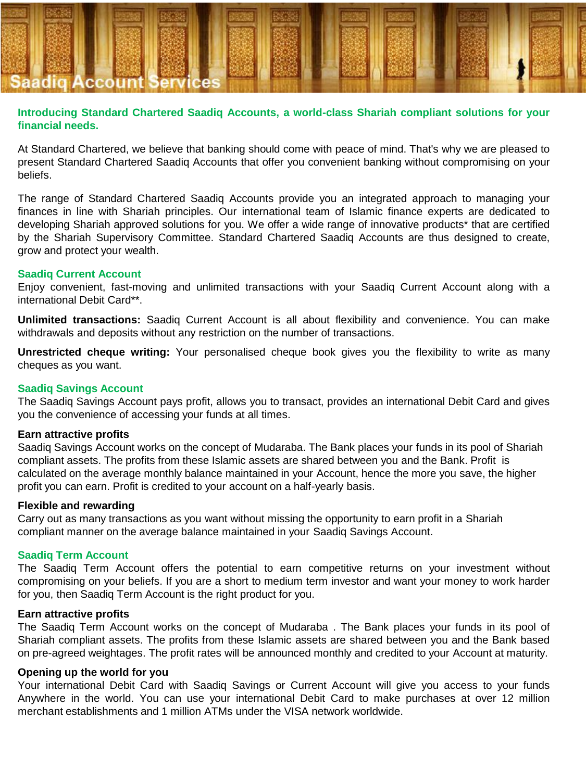

# **Introducing Standard Chartered Saadiq Accounts, a world-class Shariah compliant solutions for your financial needs.**

At Standard Chartered, we believe that banking should come with peace of mind. That's why we are pleased to present Standard Chartered Saadiq Accounts that offer you convenient banking without compromising on your beliefs.

The range of Standard Chartered Saadiq Accounts provide you an integrated approach to managing your finances in line with Shariah principles. Our international team of Islamic finance experts are dedicated to developing Shariah approved solutions for you. We offer a wide range of innovative products\* that are certified by the Shariah Supervisory Committee. Standard Chartered Saadiq Accounts are thus designed to create, grow and protect your wealth.

#### **Saadiq Current Account**

Enjoy convenient, fast-moving and unlimited transactions with your Saadiq Current Account along with a international Debit Card\*\*.

**Unlimited transactions:** Saadiq Current Account is all about flexibility and convenience. You can make withdrawals and deposits without any restriction on the number of transactions.

**Unrestricted cheque writing:** Your personalised cheque book gives you the flexibility to write as many cheques as you want.

### **Saadiq Savings Account**

The Saadiq Savings Account pays profit, allows you to transact, provides an international Debit Card and gives you the convenience of accessing your funds at all times.

#### **Earn attractive profits**

Saadiq Savings Account works on the concept of Mudaraba. The Bank places your funds in its pool of Shariah compliant assets. The profits from these Islamic assets are shared between you and the Bank. Profit is calculated on the average monthly balance maintained in your Account, hence the more you save, the higher profit you can earn. Profit is credited to your account on a half-yearly basis.

#### **Flexible and rewarding**

Carry out as many transactions as you want without missing the opportunity to earn profit in a Shariah compliant manner on the average balance maintained in your Saadiq Savings Account.

# **Saadiq Term Account**

The Saadiq Term Account offers the potential to earn competitive returns on your investment without compromising on your beliefs. If you are a short to medium term investor and want your money to work harder for you, then Saadiq Term Account is the right product for you.

#### **Earn attractive profits**

The Saadiq Term Account works on the concept of Mudaraba . The Bank places your funds in its pool of Shariah compliant assets. The profits from these Islamic assets are shared between you and the Bank based on pre-agreed weightages. The profit rates will be announced monthly and credited to your Account at maturity.

### **Opening up the world for you**

Your international Debit Card with Saadiq Savings or Current Account will give you access to your funds Anywhere in the world. You can use your international Debit Card to make purchases at over 12 million merchant establishments and 1 million ATMs under the VISA network worldwide.